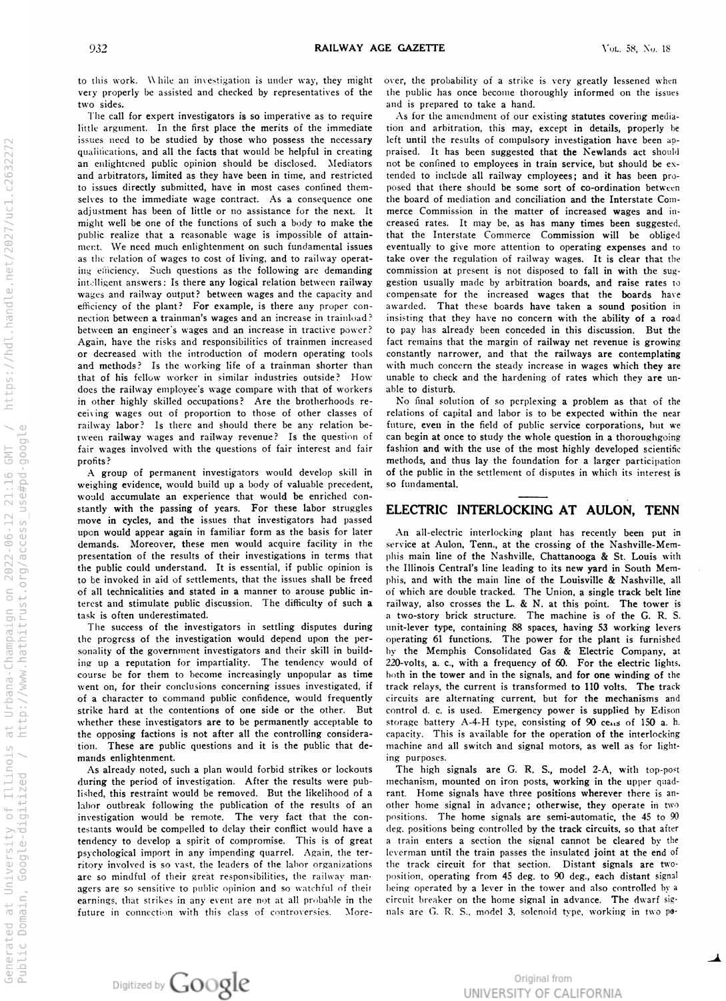to this work. While an investigation is under way, they might over, the probability of a strike is very greatly lessened when<br>very properly be assisted and checked by representatives of the the public has once become thoro very properly be assisted and checked by representatives of the the public has once become thoroughly informed on the issues<br>and is prepared to take a hand.

The call for expert investigators is so imperative as to require  $\frac{d}{dt}$  fittle argument. In the first place the merits of the immediate issues need to be studied by those who possess the necessary qualifications, and all the facts that would be helpful in n enlightened public opinion should be disclosed. Mediators hot and arbitrators, innited as they have been in time, and restricted tended o issues directly submitted, have in most cases confined them posed that there should selves to the immediate wage contract. As a consequence one the board adjustment has been of little or no assistance for the next. It might well be one of the functions of such a body to public realize that a reasonable wage is impossible of mert. We need much enlightenment on such fundamental issues are eventually s the relation of wages to cost of living, and to ing einciency. Such questions as the following are demanding commission  $int$  answers : Is there any logical relation between railway arror usually made  $int$ wages and railway output? between wages and the capacity and efficiency of the plant? For example, is there any proper connection between a trainman's wages and an increase in trainload? between an engineer's wages and an increase in tractive power? Again, have the risks and responsibilities of r decreased with the introduction of and methods? Is the working life of a that of his fellow worker in similar industries outside ? does the railway employee's wage compare with that of workers able in other highly skilled occupations ? Are the brotherhoods re ceiving wages out of proportion to those of other classes of railway labor? Is there and should there be any relation between railway wages and railway revenue? Is the question of fair wages involved with the questions of fair interest and fair at fashion and with the use profits?

Agroup of permanent investigators would develop skill in weighing evidence, would build up a body of valuable precedent, would accumulate an experience that would be enriched con stantly with the passing of years. move in cycles, and the issues that investigators had passed upon would appear again in familiar form as the basis for later An demands. Moreover, these men would acquire facility in presentation of the results of their investigations in the public could understand. It is essential, if public opinion is o be invoked in aid of settlements, that the issues shall be of all technicalities and stated in a manner to arouse public interest and stimulate public discussion. The difficulty of such a task is often underestimated.

The success of the investigators in settling disputes during unit-lever type, the progress of the investigation would depend upon the per- operating sonality of the government investigators and their skill in build ing up a reputation for impartiality. The tendency would of course be for them to become increasingly unpopular as time both went on, for their conclusions concerning issues investigated, if of a character to command public confidence, strike hard at the contentions of one side or the other. whether these investigators are to be permanently acceptable to the opposing factions is not after all the controlling considera- capacity. tion. These are public questions and it is the public that demands enlightenment.

As already noted, such a plan would forbid strikes or during the period of investigation. After the results were pub- mechanism, mounted  $l$ ished, this restraint would be removed. But the likelihood of a labor outbreak following the publication of the results of an investigation would be remote. The very fact that the con- positions. testants would be compelled to delay their conflict would have <sup>a</sup> tendency to develop a spirit of compromise. This is of great a psych<mark>ological i</mark>mport in any impending quarrel. Again, the territory involved is so vast, the leaders of are so mindful of their great responsibilities, the railway man position, agers are so sensitive to public opinion and so watchful of earnings, that strikes in any event are not at all probable in future in connection with this class of controversies .

and is prepared to take a hand.<br>As for the amendment of our existing statutes covering mediation and arbitration, this may, except in details, properly be left until the results of compulsory investigation have been apcreating praised. It has been suggested that the Newlands act should be confined to employees in train service, but should be exo include all railway employees; and it has been pro le some sort of co-ordination between the board of mediation and conciliation and the Interstate Commerce Commission in the matter of increased wages and inmake the creased rates. It may be, as has many times been suggested, attain- that the Interstate Commerce Commission will be oblige o give more attention to operating expenses and to railway operat- take over the regulation of railway wages. It is clear that the at present is not disposed to fall in with the sugly arbitration boards, and raise rates to compensate for the increased wages that the boards have awarded. That these boards have taken a sound position in insisting that they have no concern with the ability of a road o pay has already been conceded in this discussion. But the trainmen increased that temains that the margin of railway net revenue is growing modern operating tools constantly narrower, and that the railways are contemplating trainman shorter than with much concern the steady increase in wages which they are How unable to check and the hardening of rates which they are uno disturb.

No final solution of so perplexing a problem as that of the relations of capital and labor is to be expected within the near future, even in the field of public service corporations, but we can begin at once to study the whole question in a thoroughgoin of the most highly developed scientific methods, and thus lay the foundation for a larger participation of the public in the settlement of disputes in which its interest is o fundamental.

## For these labor struggles ELECTRIC INTERLOCKING AT AULON, TENN

all -electric interlocking plant has recently been put in the service at Aulon, 1 enn., at the crossing of the Nashville-Mem terms that phis main line of the Nashville, Chattanooga & St. Louis with the Illinois Central's line leading to its new yard in South Memfreed phis, and with the main line of the Louisville & Nashville, all bt which are double tracked. The Union, a single track belt line railway, also crosses the L. & N. at this point. The tower is a two-story brick structure. The machine is of the G. R. S. nit-lever type, containing 88 spaces, having 53 working lever If functions. The power for the plant is furnished by the Memphis Consolidated Gas & Electric Company , at  $220$ -volts, a. c., with a frequency of  $60$ . For the electric lights, in the tower and in the signals, and for one winding of the track relays, the current is transformed to 110 volts. The trac would frequently circuits are alternating current, but for the mechanisms and But control d. c. is used. Emergency power is supplied by Edison storage battery A-4-H type, consisting of 90 cens of 150 a. h. This is available for the operation of the interlocking machine and all switch <mark>a</mark>nd signal motors, as well as for light ing purposes.

lockouts The high signals are G. R. S., model 2-A, with top-post n iron post<mark>s, working</mark> in the upper quad rant. Home signals have three positions wherever there is another home signal in advance; otherwise, they operate in two  $\frac{1}{2}$ The home signals are semi-automatic, the  $45$  to  $90$ deg, positions being controlled by <mark>the track circuits, so th</mark>at after train enters <sup>a</sup> section the signal cannot be cleared by the leverman until the train passes the insulated joint at the end of the labor organizations the track circuit for that section . Distant signals are two operating from 45 deg, to 90 deg., each distant signa their being operated by a lever in the tower and also controlled by a the circuit breaker on the home signal in advance. The dwarf sig-Vore nals are G. R. S. , model 3, solenoid type , working in two po



Original from UNIVERSITY OF CALIFORNIA